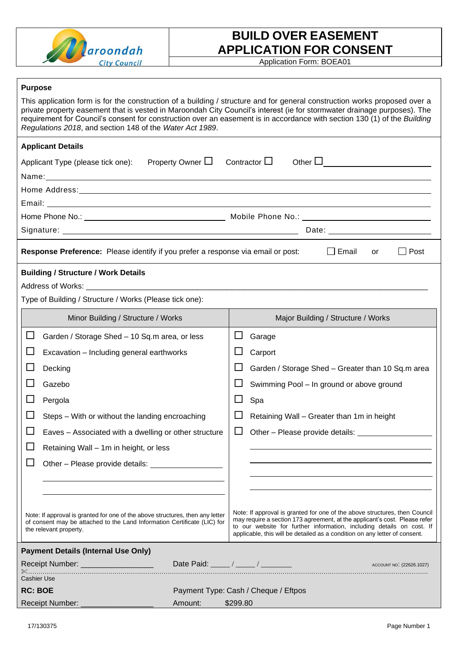

## **BUILD OVER EASEMENT APPLICATION FOR CONSENT**

Application Form: BOEA01

## **Purpose**

| This application form is for the construction of a building / structure and for general construction works proposed over a<br>private property easement that is vested in Maroondah City Council's interest (ie for stormwater drainage purposes). The<br>requirement for Council's consent for construction over an easement is in accordance with section 130 (1) of the Building<br>Regulations 2018, and section 148 of the Water Act 1989. |         |                                                                                                                                                                                                                                                                                                                 |  |  |  |
|-------------------------------------------------------------------------------------------------------------------------------------------------------------------------------------------------------------------------------------------------------------------------------------------------------------------------------------------------------------------------------------------------------------------------------------------------|---------|-----------------------------------------------------------------------------------------------------------------------------------------------------------------------------------------------------------------------------------------------------------------------------------------------------------------|--|--|--|
| <b>Applicant Details</b>                                                                                                                                                                                                                                                                                                                                                                                                                        |         |                                                                                                                                                                                                                                                                                                                 |  |  |  |
| Property Owner <b>□</b><br>Applicant Type (please tick one):                                                                                                                                                                                                                                                                                                                                                                                    |         | Contractor $\Box$<br>Other $\Box$                                                                                                                                                                                                                                                                               |  |  |  |
|                                                                                                                                                                                                                                                                                                                                                                                                                                                 |         |                                                                                                                                                                                                                                                                                                                 |  |  |  |
|                                                                                                                                                                                                                                                                                                                                                                                                                                                 |         |                                                                                                                                                                                                                                                                                                                 |  |  |  |
|                                                                                                                                                                                                                                                                                                                                                                                                                                                 |         |                                                                                                                                                                                                                                                                                                                 |  |  |  |
|                                                                                                                                                                                                                                                                                                                                                                                                                                                 |         |                                                                                                                                                                                                                                                                                                                 |  |  |  |
|                                                                                                                                                                                                                                                                                                                                                                                                                                                 |         | Date: __________________________                                                                                                                                                                                                                                                                                |  |  |  |
| <b>Response Preference:</b> Please identify if you prefer a response via email or post: $\Box$ Email<br>$\Box$ Post<br>or                                                                                                                                                                                                                                                                                                                       |         |                                                                                                                                                                                                                                                                                                                 |  |  |  |
| <b>Building / Structure / Work Details</b><br>Type of Building / Structure / Works (Please tick one):                                                                                                                                                                                                                                                                                                                                           |         |                                                                                                                                                                                                                                                                                                                 |  |  |  |
| Minor Building / Structure / Works                                                                                                                                                                                                                                                                                                                                                                                                              |         | Major Building / Structure / Works                                                                                                                                                                                                                                                                              |  |  |  |
| $\Box$<br>Garden / Storage Shed - 10 Sq.m area, or less                                                                                                                                                                                                                                                                                                                                                                                         |         | Garage                                                                                                                                                                                                                                                                                                          |  |  |  |
| Excavation - Including general earthworks                                                                                                                                                                                                                                                                                                                                                                                                       |         | Carport                                                                                                                                                                                                                                                                                                         |  |  |  |
| Decking                                                                                                                                                                                                                                                                                                                                                                                                                                         |         | Garden / Storage Shed - Greater than 10 Sq.m area                                                                                                                                                                                                                                                               |  |  |  |
| $\mathsf{L}$<br>Gazebo                                                                                                                                                                                                                                                                                                                                                                                                                          |         | Swimming Pool - In ground or above ground                                                                                                                                                                                                                                                                       |  |  |  |
| Pergola                                                                                                                                                                                                                                                                                                                                                                                                                                         |         | Spa                                                                                                                                                                                                                                                                                                             |  |  |  |
| Steps - With or without the landing encroaching                                                                                                                                                                                                                                                                                                                                                                                                 |         | Retaining Wall - Greater than 1m in height                                                                                                                                                                                                                                                                      |  |  |  |
| ⊔<br>Eaves - Associated with a dwelling or other structure                                                                                                                                                                                                                                                                                                                                                                                      |         | Other - Please provide details:                                                                                                                                                                                                                                                                                 |  |  |  |
| Retaining Wall - 1m in height, or less                                                                                                                                                                                                                                                                                                                                                                                                          |         |                                                                                                                                                                                                                                                                                                                 |  |  |  |
|                                                                                                                                                                                                                                                                                                                                                                                                                                                 |         |                                                                                                                                                                                                                                                                                                                 |  |  |  |
| Other - Please provide details: _________________                                                                                                                                                                                                                                                                                                                                                                                               |         |                                                                                                                                                                                                                                                                                                                 |  |  |  |
|                                                                                                                                                                                                                                                                                                                                                                                                                                                 |         |                                                                                                                                                                                                                                                                                                                 |  |  |  |
|                                                                                                                                                                                                                                                                                                                                                                                                                                                 |         |                                                                                                                                                                                                                                                                                                                 |  |  |  |
| Note: If approval is granted for one of the above structures, then any letter<br>of consent may be attached to the Land Information Certificate (LIC) for<br>the relevant property.                                                                                                                                                                                                                                                             |         | Note: If approval is granted for one of the above structures, then Council<br>may require a section 173 agreement, at the applicant's cost. Please refer<br>to our website for further information, including details on cost. If<br>applicable, this will be detailed as a condition on any letter of consent. |  |  |  |
| <b>Payment Details (Internal Use Only)</b>                                                                                                                                                                                                                                                                                                                                                                                                      |         |                                                                                                                                                                                                                                                                                                                 |  |  |  |
| Receipt Number: _____________________                                                                                                                                                                                                                                                                                                                                                                                                           |         | Date Paid: _____ / _____ / ________                                                                                                                                                                                                                                                                             |  |  |  |
| <b>Cashier Use</b>                                                                                                                                                                                                                                                                                                                                                                                                                              |         |                                                                                                                                                                                                                                                                                                                 |  |  |  |
| <b>RC: BOE</b>                                                                                                                                                                                                                                                                                                                                                                                                                                  |         | Payment Type: Cash / Cheque / Eftpos                                                                                                                                                                                                                                                                            |  |  |  |
| Receipt Number: ____________                                                                                                                                                                                                                                                                                                                                                                                                                    | Amount: | \$299.80                                                                                                                                                                                                                                                                                                        |  |  |  |